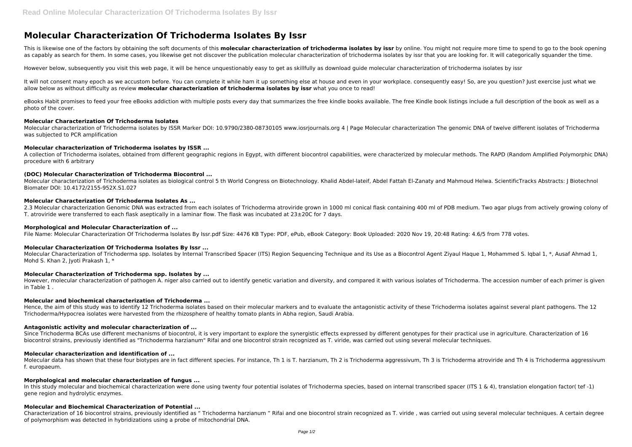# **Molecular Characterization Of Trichoderma Isolates By Issr**

This is likewise one of the factors by obtaining the soft documents of this **molecular characterization of trichoderma isolates by issr** by online. You might not require more time to spend to go to the book opening as capably as search for them. In some cases, you likewise get not discover the publication molecular characterization of trichoderma isolates by issr that you are looking for. It will categorically squander the time.

It will not consent many epoch as we accustom before. You can complete it while ham it up something else at house and even in your workplace. consequently easy! So, are you question? Just exercise just what we allow below as without difficulty as review **molecular characterization of trichoderma isolates by issr** what you once to read!

However below, subsequently you visit this web page, it will be hence unquestionably easy to get as skillfully as download guide molecular characterization of trichoderma isolates by issr

eBooks Habit promises to feed your free eBooks addiction with multiple posts every day that summarizes the free kindle books available. The free Kindle book listings include a full description of the book as well as a photo of the cover.

Molecular characterization of Trichoderma isolates as biological control 5 th World Congress on Biotechnology. Khalid Abdel-lateif, Abdel Fattah El-Zanaty and Mahmoud Helwa. ScientificTracks Abstracts: J Biotechnol Biomater DOI: 10.4172/2155-952X.S1.027

2.3 Molecular characterization Genomic DNA was extracted from each isolates of Trichoderma atroviride grown in 1000 ml conical flask containing 400 ml of PDB medium. Two agar plugs from actively growing colony of T. atroviride were transferred to each flask aseptically in a laminar flow. The flask was incubated at 23±20C for 7 days.

#### **Molecular Characterization Of Trichoderma Isolates**

Molecular characterization of Trichoderma isolates by ISSR Marker DOI: 10.9790/2380-08730105 www.iosrjournals.org 4 | Page Molecular characterization The genomic DNA of twelve different isolates of Trichoderma was subjected to PCR amplification

#### **Molecular characterization of Trichoderma isolates by ISSR ...**

A collection of Trichoderma isolates, obtained from different geographic regions in Egypt, with different biocontrol capabilities, were characterized by molecular methods. The RAPD (Random Amplified Polymorphic DNA) procedure with 6 arbitrary

Hence, the aim of this study was to identify 12 Trichoderma isolates based on their molecular markers and to evaluate the antagonistic activity of these Trichoderma isolates against several plant pathogens. The 12 Trichoderma/Hypocrea isolates were harvested from the rhizosphere of healthy tomato plants in Abha region, Saudi Arabia.

# **(DOC) Molecular Characterization of Trichoderma Biocontrol ...**

Since Trichoderma BCAs use different mechanisms of biocontrol, it is very important to explore the synergistic effects expressed by different genotypes for their practical use in agriculture. Characterization of 16 biocontrol strains, previously identified as "Trichoderma harzianum" Rifai and one biocontrol strain recognized as T. viride, was carried out using several molecular techniques.

# **Molecular Characterization Of Trichoderma Isolates As ...**

Molecular data has shown that these four biotypes are in fact different species. For instance, Th 1 is T. harzianum, Th 2 is Trichoderma aggressivum, Th 3 is Trichoderma atroviride and Th 4 is Trichoderma aggressivum f. europaeum.

In this study molecular and biochemical characterization were done using twenty four potential isolates of Trichoderma species, based on internal transcribed spacer (ITS 1 & 4), translation elongation factor( tef -1) gene region and hydrolytic enzymes.

#### **Morphological and Molecular Characterization of ...**

File Name: Molecular Characterization Of Trichoderma Isolates By Issr.pdf Size: 4476 KB Type: PDF, ePub, eBook Category: Book Uploaded: 2020 Nov 19, 20:48 Rating: 4.6/5 from 778 votes.

#### **Molecular Characterization Of Trichoderma Isolates By Issr ...**

Molecular Characterization of Trichoderma spp. Isolates by Internal Transcribed Spacer (ITS) Region Sequencing Technique and its Use as a Biocontrol Agent Ziyaul Haque 1, Mohammed S. Igbal 1, \*, Ausaf Ahmad 1, Mohd S. Khan 2, Ivoti Prakash 1, \*

#### **Molecular Characterization of Trichoderma spp. Isolates by ...**

However, molecular characterization of pathogen A. niger also carried out to identify genetic variation and diversity, and compared it with various isolates of Trichoderma. The accession number of each primer is given in Table 1 .

#### **Molecular and biochemical characterization of Trichoderma ...**

#### **Antagonistic activity and molecular characterization of ...**

#### **Molecular characterization and identification of ...**

#### **Morphological and molecular characterization of fungus ...**

# **Molecular and Biochemical Characterization of Potential ...**

Characterization of 16 biocontrol strains, previously identified as " Trichoderma harzianum " Rifai and one biocontrol strain recognized as T. viride , was carried out using several molecular techniques. A certain degree of polymorphism was detected in hybridizations using a probe of mitochondrial DNA.